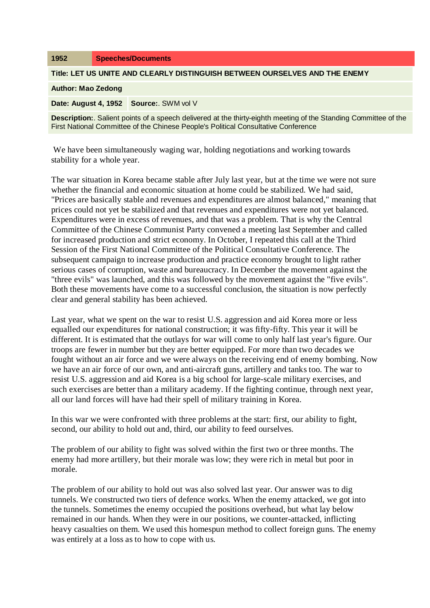## **1952 Speeches/Documents**

### **Title: LET US UNITE AND CLEARLY DISTINGUISH BETWEEN OURSELVES AND THE ENEMY**

#### **Author: Mao Zedong**

**Date: August 4, 1952 Source:**. SWM vol V

**Description:**. Salient points of a speech delivered at the thirty-eighth meeting of the Standing Committee of the First National Committee of the Chinese People's Political Consultative Conference

We have been simultaneously waging war, holding negotiations and working towards stability for a whole year.

The war situation in Korea became stable after July last year, but at the time we were not sure whether the financial and economic situation at home could be stabilized. We had said, "Prices are basically stable and revenues and expenditures are almost balanced," meaning that prices could not yet be stabilized and that revenues and expenditures were not yet balanced. Expenditures were in excess of revenues, and that was a problem. That is why the Central Committee of the Chinese Communist Party convened a meeting last September and called for increased production and strict economy. In October, I repeated this call at the Third Session of the First National Committee of the Political Consultative Conference. The subsequent campaign to increase production and practice economy brought to light rather serious cases of corruption, waste and bureaucracy. In December the movement against the "three evils" was launched, and this was followed by the movement against the "five evils". Both these movements have come to a successful conclusion, the situation is now perfectly clear and general stability has been achieved.

Last year, what we spent on the war to resist U.S. aggression and aid Korea more or less equalled our expenditures for national construction; it was fifty-fifty. This year it will be different. It is estimated that the outlays for war will come to only half last year's figure. Our troops are fewer in number but they are better equipped. For more than two decades we fought without an air force and we were always on the receiving end of enemy bombing. Now we have an air force of our own, and anti-aircraft guns, artillery and tanks too. The war to resist U.S. aggression and aid Korea is a big school for large-scale military exercises, and such exercises are better than a military academy. If the fighting continue, through next year, all our land forces will have had their spell of military training in Korea.

In this war we were confronted with three problems at the start: first, our ability to fight, second, our ability to hold out and, third, our ability to feed ourselves.

The problem of our ability to fight was solved within the first two or three months. The enemy had more artillery, but their morale was low; they were rich in metal but poor in morale.

The problem of our ability to hold out was also solved last year. Our answer was to dig tunnels. We constructed two tiers of defence works. When the enemy attacked, we got into the tunnels. Sometimes the enemy occupied the positions overhead, but what lay below remained in our hands. When they were in our positions, we counter-attacked, inflicting heavy casualties on them. We used this homespun method to collect foreign guns. The enemy was entirely at a loss as to how to cope with us.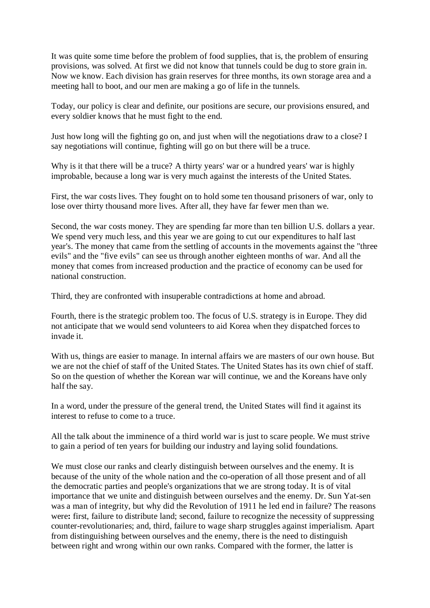It was quite some time before the problem of food supplies, that is, the problem of ensuring provisions, was solved. At first we did not know that tunnels could be dug to store grain in. Now we know. Each division has grain reserves for three months, its own storage area and a meeting hall to boot, and our men are making a go of life in the tunnels.

Today, our policy is clear and definite, our positions are secure, our provisions ensured, and every soldier knows that he must fight to the end.

Just how long will the fighting go on, and just when will the negotiations draw to a close? I say negotiations will continue, fighting will go on but there will be a truce.

Why is it that there will be a truce? A thirty years' war or a hundred years' war is highly improbable, because a long war is very much against the interests of the United States.

First, the war costs lives. They fought on to hold some ten thousand prisoners of war, only to lose over thirty thousand more lives. After all, they have far fewer men than we.

Second, the war costs money. They are spending far more than ten billion U.S. dollars a year. We spend very much less, and this year we are going to cut our expenditures to half last year's. The money that came from the settling of accounts in the movements against the "three evils" and the "five evils" can see us through another eighteen months of war. And all the money that comes from increased production and the practice of economy can be used for national construction.

Third, they are confronted with insuperable contradictions at home and abroad.

Fourth, there is the strategic problem too. The focus of U.S. strategy is in Europe. They did not anticipate that we would send volunteers to aid Korea when they dispatched forces to invade it.

With us, things are easier to manage. In internal affairs we are masters of our own house. But we are not the chief of staff of the United States. The United States has its own chief of staff. So on the question of whether the Korean war will continue, we and the Koreans have only half the say.

In a word, under the pressure of the general trend, the United States will find it against its interest to refuse to come to a truce.

All the talk about the imminence of a third world war is just to scare people. We must strive to gain a period of ten years for building our industry and laying solid foundations.

We must close our ranks and clearly distinguish between ourselves and the enemy. It is because of the unity of the whole nation and the co-operation of all those present and of all the democratic parties and people's organizations that we are strong today. It is of vital importance that we unite and distinguish between ourselves and the enemy. Dr. Sun Yat-sen was a man of integrity, but why did the Revolution of 1911 he led end in failure? The reasons were**:** first, failure to distribute land; second, failure to recognize the necessity of suppressing counter-revolutionaries; and, third, failure to wage sharp struggles against imperialism. Apart from distinguishing between ourselves and the enemy, there is the need to distinguish between right and wrong within our own ranks. Compared with the former, the latter is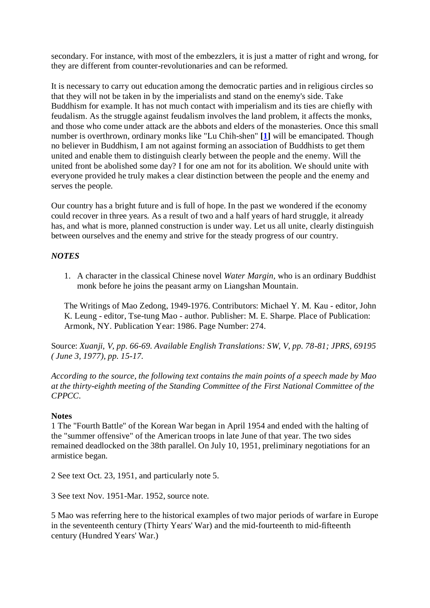secondary. For instance, with most of the embezzlers, it is just a matter of right and wrong, for they are different from counter-revolutionaries and can be reformed.

It is necessary to carry out education among the democratic parties and in religious circles so that they will not be taken in by the imperialists and stand on the enemy's side. Take Buddhism for example. It has not much contact with imperialism and its ties are chiefly with feudalism. As the struggle against feudalism involves the land problem, it affects the monks, and those who come under attack are the abbots and elders of the monasteries. Once this small number is overthrown, ordinary monks like "Lu Chih-shen" **[\[1\]](http://www.marxists.org/reference/archive/mao/selected-works/volume-5/mswv5_22.htm#bm1)** will be emancipated. Though no believer in Buddhism, I am not against forming an association of Buddhists to get them united and enable them to distinguish clearly between the people and the enemy. Will the united front be abolished some day? I for one am not for its abolition. We should unite with everyone provided he truly makes a clear distinction between the people and the enemy and serves the people.

Our country has a bright future and is full of hope. In the past we wondered if the economy could recover in three years. As a result of two and a half years of hard struggle, it already has, and what is more, planned construction is under way. Let us all unite, clearly distinguish between ourselves and the enemy and strive for the steady progress of our country.

# *NOTES*

1. A character in the classical Chinese novel *Water Margin,* who is an ordinary Buddhist monk before he joins the peasant army on Liangshan Mountain.

The Writings of Mao Zedong, 1949-1976. Contributors: Michael Y. M. Kau - editor, John K. Leung - editor, Tse-tung Mao - author. Publisher: M. E. Sharpe. Place of Publication: Armonk, NY. Publication Year: 1986. Page Number: 274.

Source: *Xuanji, V, pp. 66-69. Available English Translations: SW, V, pp. 78-81; JPRS, 69195 ( June 3, 1977), pp. 15-17.* 

*According to the source, the following text contains the main points of a speech made by Mao at the thirty-eighth meeting of the Standing Committee of the First National Committee of the CPPCC.* 

## **Notes**

1 The "Fourth Battle" of the Korean War began in April 1954 and ended with the halting of the "summer offensive" of the American troops in late June of that year. The two sides remained deadlocked on the 38th parallel. On July 10, 1951, preliminary negotiations for an armistice began.

2 See text Oct. 23, 1951, and particularly note 5.

3 See text Nov. 1951-Mar. 1952, source note.

5 Mao was referring here to the historical examples of two major periods of warfare in Europe in the seventeenth century (Thirty Years' War) and the mid-fourteenth to mid-fifteenth century (Hundred Years' War.)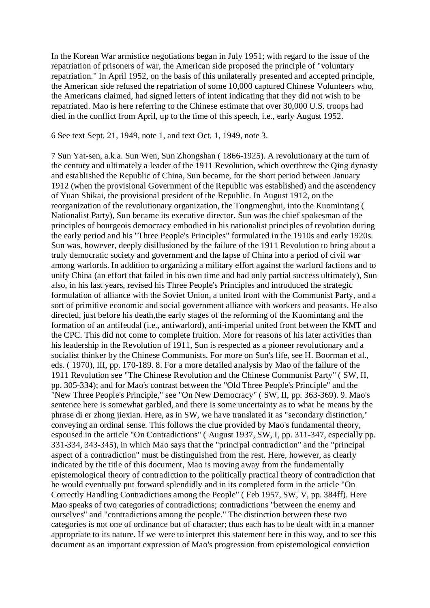In the Korean War armistice negotiations began in July 1951; with regard to the issue of the repatriation of prisoners of war, the American side proposed the principle of "voluntary repatriation." In April 1952, on the basis of this unilaterally presented and accepted principle, the American side refused the repatriation of some 10,000 captured Chinese Volunteers who, the Americans claimed, had signed letters of intent indicating that they did not wish to be repatriated. Mao is here referring to the Chinese estimate that over 30,000 U.S. troops had died in the conflict from April, up to the time of this speech, i.e., early August 1952.

6 See text Sept. 21, 1949, note 1, and text Oct. 1, 1949, note 3.

7 Sun Yat-sen, a.k.a. Sun Wen, Sun Zhongshan ( 1866-1925). A revolutionary at the turn of the century and ultimately a leader of the 1911 Revolution, which overthrew the Qing dynasty and established the Republic of China, Sun became, for the short period between January 1912 (when the provisional Government of the Republic was established) and the ascendency of Yuan Shikai, the provisional president of the Republic. In August 1912, on the reorganization of the revolutionary organization, the Tongmenghui, into the Kuomintang ( Nationalist Party), Sun became its executive director. Sun was the chief spokesman of the principles of bourgeois democracy embodied in his nationalist principles of revolution during the early period and his "Three People's Principles" formulated in the 1910s and early 1920s. Sun was, however, deeply disillusioned by the failure of the 1911 Revolution to bring about a truly democratic society and government and the lapse of China into a period of civil war among warlords. In addition to organizing a military effort against the warlord factions and to unify China (an effort that failed in his own time and had only partial success ultimately), Sun also, in his last years, revised his Three People's Principles and introduced the strategic formulation of alliance with the Soviet Union, a united front with the Communist Party, and a sort of primitive economic and social government alliance with workers and peasants. He also directed, just before his death,the early stages of the reforming of the Kuomintang and the formation of an antifeudal (i.e., antiwarlord), anti-imperial united front between the KMT and the CPC. This did not come to complete fruition. More for reasons of his later activities than his leadership in the Revolution of 1911, Sun is respected as a pioneer revolutionary and a socialist thinker by the Chinese Communists. For more on Sun's life, see H. Boorman et al., eds. ( 1970), III, pp. 170-189. 8. For a more detailed analysis by Mao of the failure of the 1911 Revolution see "The Chinese Revolution and the Chinese Communist Party" ( SW, II, pp. 305-334); and for Mao's contrast between the "Old Three People's Principle" and the "New Three People's Principle," see "On New Democracy" ( SW, II, pp. 363-369). 9. Mao's sentence here is somewhat garbled, and there is some uncertainty as to what he means by the phrase di er zhong jiexian. Here, as in SW, we have translated it as "secondary distinction," conveying an ordinal sense. This follows the clue provided by Mao's fundamental theory, espoused in the article "On Contradictions" ( August 1937, SW, I, pp. 311-347, especially pp. 331-334, 343-345), in which Mao says that the "principal contradiction" and the "principal aspect of a contradiction" must be distinguished from the rest. Here, however, as clearly indicated by the title of this document, Mao is moving away from the fundamentally epistemological theory of contradiction to the politically practical theory of contradiction that he would eventually put forward splendidly and in its completed form in the article "On Correctly Handling Contradictions among the People" ( Feb 1957, SW, V, pp. 384ff). Here Mao speaks of two categories of contradictions; contradictions "between the enemy and ourselves" and "contradictions among the people." The distinction between these two categories is not one of ordinance but of character; thus each has to be dealt with in a manner appropriate to its nature. If we were to interpret this statement here in this way, and to see this document as an important expression of Mao's progression from epistemological conviction